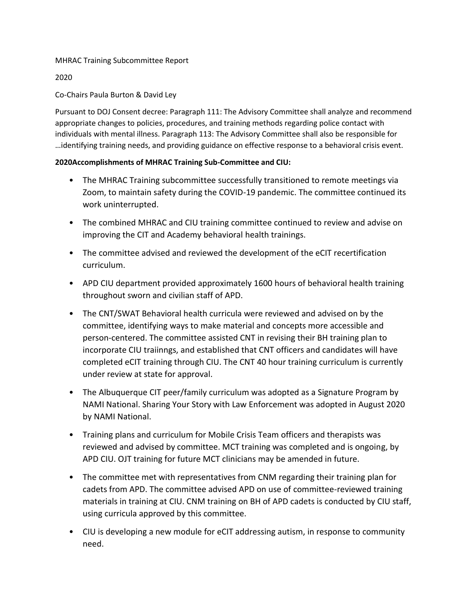## MHRAC Training Subcommittee Report

2020

## Co-Chairs Paula Burton & David Ley

Pursuant to DOJ Consent decree: Paragraph 111: The Advisory Committee shall analyze and recommend appropriate changes to policies, procedures, and training methods regarding police contact with individuals with mental illness. Paragraph 113: The Advisory Committee shall also be responsible for …identifying training needs, and providing guidance on effective response to a behavioral crisis event.

## **2020Accomplishments of MHRAC Training Sub-Committee and CIU:**

- The MHRAC Training subcommittee successfully transitioned to remote meetings via Zoom, to maintain safety during the COVID-19 pandemic. The committee continued its work uninterrupted.
- The combined MHRAC and CIU training committee continued to review and advise on improving the CIT and Academy behavioral health trainings.
- The committee advised and reviewed the development of the eCIT recertification curriculum.
- APD CIU department provided approximately 1600 hours of behavioral health training throughout sworn and civilian staff of APD.
- The CNT/SWAT Behavioral health curricula were reviewed and advised on by the committee, identifying ways to make material and concepts more accessible and person-centered. The committee assisted CNT in revising their BH training plan to incorporate CIU traiinngs, and established that CNT officers and candidates will have completed eCIT training through CIU. The CNT 40 hour training curriculum is currently under review at state for approval.
- The Albuquerque CIT peer/family curriculum was adopted as a Signature Program by NAMI National. Sharing Your Story with Law Enforcement was adopted in August 2020 by NAMI National.
- Training plans and curriculum for Mobile Crisis Team officers and therapists was reviewed and advised by committee. MCT training was completed and is ongoing, by APD CIU. OJT training for future MCT clinicians may be amended in future.
- The committee met with representatives from CNM regarding their training plan for cadets from APD. The committee advised APD on use of committee-reviewed training materials in training at CIU. CNM training on BH of APD cadets is conducted by CIU staff, using curricula approved by this committee.
- CIU is developing a new module for eCIT addressing autism, in response to community need.